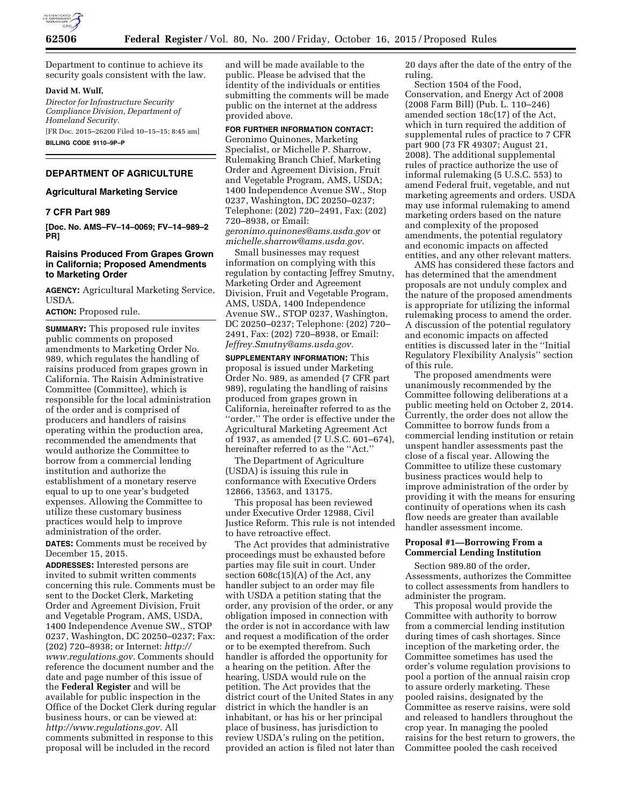

Department to continue to achieve its security goals consistent with the law.

### **David M. Wulf,**

*Director for Infrastructure Security Compliance Division, Department of Homeland Security.* 

[FR Doc. 2015–26200 Filed 10–15–15; 8:45 am] **BILLING CODE 9110–9P–P** 

# **DEPARTMENT OF AGRICULTURE**

# **Agricultural Marketing Service**

# **7 CFR Part 989**

**[Doc. No. AMS–FV–14–0069; FV–14–989–2 PR]** 

## **Raisins Produced From Grapes Grown in California; Proposed Amendments to Marketing Order**

**AGENCY:** Agricultural Marketing Service, USDA.

**ACTION:** Proposed rule.

**SUMMARY:** This proposed rule invites public comments on proposed amendments to Marketing Order No. 989, which regulates the handling of raisins produced from grapes grown in California. The Raisin Administrative Committee (Committee), which is responsible for the local administration of the order and is comprised of producers and handlers of raisins operating within the production area, recommended the amendments that would authorize the Committee to borrow from a commercial lending institution and authorize the establishment of a monetary reserve equal to up to one year's budgeted expenses. Allowing the Committee to utilize these customary business practices would help to improve administration of the order.

**DATES:** Comments must be received by December 15, 2015.

**ADDRESSES:** Interested persons are invited to submit written comments concerning this rule. Comments must be sent to the Docket Clerk, Marketing Order and Agreement Division, Fruit and Vegetable Program, AMS, USDA, 1400 Independence Avenue SW., STOP 0237, Washington, DC 20250–0237; Fax: (202) 720–8938; or Internet: *[http://](http://www.regulations.gov) [www.regulations.gov.](http://www.regulations.gov)* Comments should reference the document number and the date and page number of this issue of the **Federal Register** and will be available for public inspection in the Office of the Docket Clerk during regular business hours, or can be viewed at: *[http://www.regulations.gov.](http://www.regulations.gov)* All comments submitted in response to this proposal will be included in the record

and will be made available to the public. Please be advised that the identity of the individuals or entities submitting the comments will be made public on the internet at the address provided above.

**FOR FURTHER INFORMATION CONTACT:**  Geronimo Quinones, Marketing Specialist, or Michelle P. Sharrow, Rulemaking Branch Chief, Marketing Order and Agreement Division, Fruit and Vegetable Program, AMS, USDA; 1400 Independence Avenue SW., Stop 0237, Washington, DC 20250–0237; Telephone: (202) 720–2491, Fax: (202) 720–8938, or Email: *[geronimo.quinones@ams.usda.gov](mailto:geronimo.quinones@ams.usda.gov)* or *[michelle.sharrow@ams.usda.gov.](mailto:michelle.sharrow@ams.usda.gov)* 

Small businesses may request information on complying with this regulation by contacting Jeffrey Smutny, Marketing Order and Agreement Division, Fruit and Vegetable Program, AMS, USDA, 1400 Independence Avenue SW., STOP 0237, Washington, DC 20250–0237; Telephone: (202) 720– 2491, Fax: (202) 720–8938, or Email: *[Jeffrey.Smutny@ams.usda.gov.](mailto:Jeffrey.Smutny@ams.usda.gov)* 

**SUPPLEMENTARY INFORMATION:** This proposal is issued under Marketing Order No. 989, as amended (7 CFR part 989), regulating the handling of raisins produced from grapes grown in California, hereinafter referred to as the ''order.'' The order is effective under the Agricultural Marketing Agreement Act of 1937, as amended (7 U.S.C. 601–674), hereinafter referred to as the ''Act.''

The Department of Agriculture (USDA) is issuing this rule in conformance with Executive Orders 12866, 13563, and 13175.

This proposal has been reviewed under Executive Order 12988, Civil Justice Reform. This rule is not intended to have retroactive effect.

The Act provides that administrative proceedings must be exhausted before parties may file suit in court. Under section 608c(15)(A) of the Act, any handler subject to an order may file with USDA a petition stating that the order, any provision of the order, or any obligation imposed in connection with the order is not in accordance with law and request a modification of the order or to be exempted therefrom. Such handler is afforded the opportunity for a hearing on the petition. After the hearing, USDA would rule on the petition. The Act provides that the district court of the United States in any district in which the handler is an inhabitant, or has his or her principal place of business, has jurisdiction to review USDA's ruling on the petition, provided an action is filed not later than 20 days after the date of the entry of the ruling.

Section 1504 of the Food, Conservation, and Energy Act of 2008 (2008 Farm Bill) (Pub. L. 110–246) amended section 18c(17) of the Act, which in turn required the addition of supplemental rules of practice to 7 CFR part 900 (73 FR 49307; August 21, 2008). The additional supplemental rules of practice authorize the use of informal rulemaking (5 U.S.C. 553) to amend Federal fruit, vegetable, and nut marketing agreements and orders. USDA may use informal rulemaking to amend marketing orders based on the nature and complexity of the proposed amendments, the potential regulatory and economic impacts on affected entities, and any other relevant matters.

AMS has considered these factors and has determined that the amendment proposals are not unduly complex and the nature of the proposed amendments is appropriate for utilizing the informal rulemaking process to amend the order. A discussion of the potential regulatory and economic impacts on affected entities is discussed later in the ''Initial Regulatory Flexibility Analysis'' section of this rule.

The proposed amendments were unanimously recommended by the Committee following deliberations at a public meeting held on October 2, 2014. Currently, the order does not allow the Committee to borrow funds from a commercial lending institution or retain unspent handler assessments past the close of a fiscal year. Allowing the Committee to utilize these customary business practices would help to improve administration of the order by providing it with the means for ensuring continuity of operations when its cash flow needs are greater than available handler assessment income.

## **Proposal #1—Borrowing From a Commercial Lending Institution**

Section 989.80 of the order, Assessments, authorizes the Committee to collect assessments from handlers to administer the program.

This proposal would provide the Committee with authority to borrow from a commercial lending institution during times of cash shortages. Since inception of the marketing order, the Committee sometimes has used the order's volume regulation provisions to pool a portion of the annual raisin crop to assure orderly marketing. These pooled raisins, designated by the Committee as reserve raisins, were sold and released to handlers throughout the crop year. In managing the pooled raisins for the best return to growers, the Committee pooled the cash received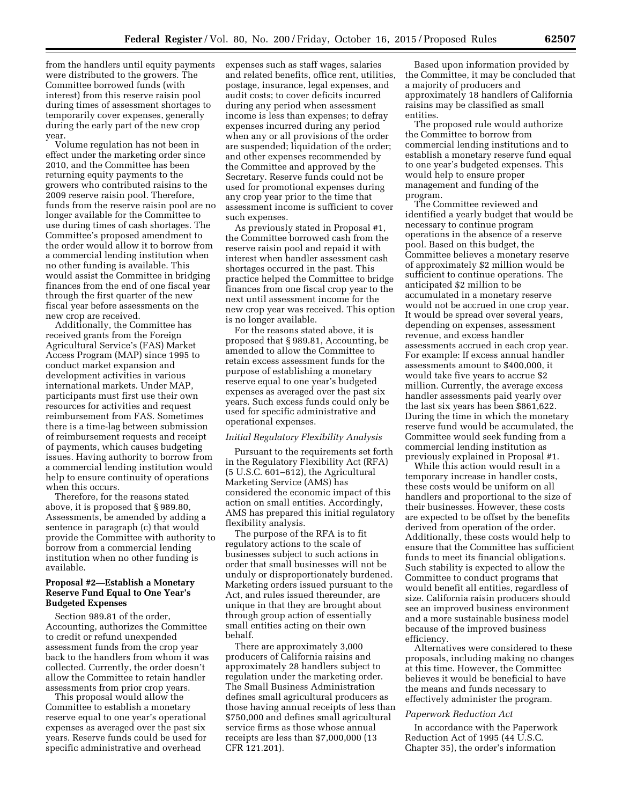from the handlers until equity payments were distributed to the growers. The Committee borrowed funds (with interest) from this reserve raisin pool during times of assessment shortages to temporarily cover expenses, generally during the early part of the new crop year.

Volume regulation has not been in effect under the marketing order since 2010, and the Committee has been returning equity payments to the growers who contributed raisins to the 2009 reserve raisin pool. Therefore, funds from the reserve raisin pool are no longer available for the Committee to use during times of cash shortages. The Committee's proposed amendment to the order would allow it to borrow from a commercial lending institution when no other funding is available. This would assist the Committee in bridging finances from the end of one fiscal year through the first quarter of the new fiscal year before assessments on the new crop are received.

Additionally, the Committee has received grants from the Foreign Agricultural Service's (FAS) Market Access Program (MAP) since 1995 to conduct market expansion and development activities in various international markets. Under MAP, participants must first use their own resources for activities and request reimbursement from FAS. Sometimes there is a time-lag between submission of reimbursement requests and receipt of payments, which causes budgeting issues. Having authority to borrow from a commercial lending institution would help to ensure continuity of operations when this occurs.

Therefore, for the reasons stated above, it is proposed that § 989.80, Assessments, be amended by adding a sentence in paragraph (c) that would provide the Committee with authority to borrow from a commercial lending institution when no other funding is available.

## **Proposal #2—Establish a Monetary Reserve Fund Equal to One Year's Budgeted Expenses**

Section 989.81 of the order, Accounting, authorizes the Committee to credit or refund unexpended assessment funds from the crop year back to the handlers from whom it was collected. Currently, the order doesn't allow the Committee to retain handler assessments from prior crop years.

This proposal would allow the Committee to establish a monetary reserve equal to one year's operational expenses as averaged over the past six years. Reserve funds could be used for specific administrative and overhead

expenses such as staff wages, salaries and related benefits, office rent, utilities, postage, insurance, legal expenses, and audit costs; to cover deficits incurred during any period when assessment income is less than expenses; to defray expenses incurred during any period when any or all provisions of the order are suspended; liquidation of the order; and other expenses recommended by the Committee and approved by the Secretary. Reserve funds could not be used for promotional expenses during any crop year prior to the time that assessment income is sufficient to cover such expenses.

As previously stated in Proposal #1, the Committee borrowed cash from the reserve raisin pool and repaid it with interest when handler assessment cash shortages occurred in the past. This practice helped the Committee to bridge finances from one fiscal crop year to the next until assessment income for the new crop year was received. This option is no longer available.

For the reasons stated above, it is proposed that § 989.81, Accounting, be amended to allow the Committee to retain excess assessment funds for the purpose of establishing a monetary reserve equal to one year's budgeted expenses as averaged over the past six years. Such excess funds could only be used for specific administrative and operational expenses.

### *Initial Regulatory Flexibility Analysis*

Pursuant to the requirements set forth in the Regulatory Flexibility Act (RFA) (5 U.S.C. 601–612), the Agricultural Marketing Service (AMS) has considered the economic impact of this action on small entities. Accordingly, AMS has prepared this initial regulatory flexibility analysis.

The purpose of the RFA is to fit regulatory actions to the scale of businesses subject to such actions in order that small businesses will not be unduly or disproportionately burdened. Marketing orders issued pursuant to the Act, and rules issued thereunder, are unique in that they are brought about through group action of essentially small entities acting on their own behalf.

There are approximately 3,000 producers of California raisins and approximately 28 handlers subject to regulation under the marketing order. The Small Business Administration defines small agricultural producers as those having annual receipts of less than \$750,000 and defines small agricultural service firms as those whose annual receipts are less than \$7,000,000 (13 CFR 121.201).

Based upon information provided by the Committee, it may be concluded that a majority of producers and approximately 18 handlers of California raisins may be classified as small entities.

The proposed rule would authorize the Committee to borrow from commercial lending institutions and to establish a monetary reserve fund equal to one year's budgeted expenses. This would help to ensure proper management and funding of the program.

The Committee reviewed and identified a yearly budget that would be necessary to continue program operations in the absence of a reserve pool. Based on this budget, the Committee believes a monetary reserve of approximately \$2 million would be sufficient to continue operations. The anticipated \$2 million to be accumulated in a monetary reserve would not be accrued in one crop year. It would be spread over several years, depending on expenses, assessment revenue, and excess handler assessments accrued in each crop year. For example: If excess annual handler assessments amount to \$400,000, it would take five years to accrue \$2 million. Currently, the average excess handler assessments paid yearly over the last six years has been \$861,622. During the time in which the monetary reserve fund would be accumulated, the Committee would seek funding from a commercial lending institution as previously explained in Proposal #1.

While this action would result in a temporary increase in handler costs, these costs would be uniform on all handlers and proportional to the size of their businesses. However, these costs are expected to be offset by the benefits derived from operation of the order. Additionally, these costs would help to ensure that the Committee has sufficient funds to meet its financial obligations. Such stability is expected to allow the Committee to conduct programs that would benefit all entities, regardless of size. California raisin producers should see an improved business environment and a more sustainable business model because of the improved business efficiency.

Alternatives were considered to these proposals, including making no changes at this time. However, the Committee believes it would be beneficial to have the means and funds necessary to effectively administer the program.

### *Paperwork Reduction Act*

In accordance with the Paperwork Reduction Act of 1995 (44 U.S.C. Chapter 35), the order's information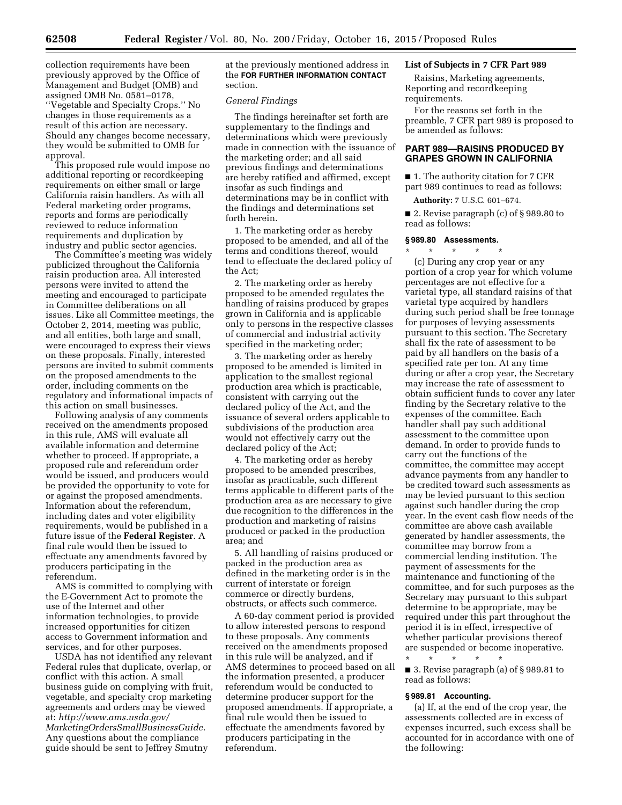collection requirements have been previously approved by the Office of Management and Budget (OMB) and assigned OMB No. 0581–0178, ''Vegetable and Specialty Crops.'' No changes in those requirements as a result of this action are necessary. Should any changes become necessary, they would be submitted to OMB for approval.

This proposed rule would impose no additional reporting or recordkeeping requirements on either small or large California raisin handlers. As with all Federal marketing order programs, reports and forms are periodically reviewed to reduce information requirements and duplication by industry and public sector agencies.

The Committee's meeting was widely publicized throughout the California raisin production area. All interested persons were invited to attend the meeting and encouraged to participate in Committee deliberations on all issues. Like all Committee meetings, the October 2, 2014, meeting was public, and all entities, both large and small, were encouraged to express their views on these proposals. Finally, interested persons are invited to submit comments on the proposed amendments to the order, including comments on the regulatory and informational impacts of this action on small businesses.

Following analysis of any comments received on the amendments proposed in this rule, AMS will evaluate all available information and determine whether to proceed. If appropriate, a proposed rule and referendum order would be issued, and producers would be provided the opportunity to vote for or against the proposed amendments. Information about the referendum, including dates and voter eligibility requirements, would be published in a future issue of the **Federal Register**. A final rule would then be issued to effectuate any amendments favored by producers participating in the referendum.

AMS is committed to complying with the E-Government Act to promote the use of the Internet and other information technologies, to provide increased opportunities for citizen access to Government information and services, and for other purposes.

USDA has not identified any relevant Federal rules that duplicate, overlap, or conflict with this action. A small business guide on complying with fruit, vegetable, and specialty crop marketing agreements and orders may be viewed at: *[http://www.ams.usda.gov/](http://www.ams.usda.gov/MarketingOrdersSmallBusinessGuide) [MarketingOrdersSmallBusinessGuide.](http://www.ams.usda.gov/MarketingOrdersSmallBusinessGuide)*  Any questions about the compliance guide should be sent to Jeffrey Smutny

at the previously mentioned address in the **FOR FURTHER INFORMATION CONTACT** section.

## *General Findings*

The findings hereinafter set forth are supplementary to the findings and determinations which were previously made in connection with the issuance of the marketing order; and all said previous findings and determinations are hereby ratified and affirmed, except insofar as such findings and determinations may be in conflict with the findings and determinations set forth herein.

1. The marketing order as hereby proposed to be amended, and all of the terms and conditions thereof, would tend to effectuate the declared policy of the Act;

2. The marketing order as hereby proposed to be amended regulates the handling of raisins produced by grapes grown in California and is applicable only to persons in the respective classes of commercial and industrial activity specified in the marketing order;

3. The marketing order as hereby proposed to be amended is limited in application to the smallest regional production area which is practicable, consistent with carrying out the declared policy of the Act, and the issuance of several orders applicable to subdivisions of the production area would not effectively carry out the declared policy of the Act;

4. The marketing order as hereby proposed to be amended prescribes, insofar as practicable, such different terms applicable to different parts of the production area as are necessary to give due recognition to the differences in the production and marketing of raisins produced or packed in the production area; and

5. All handling of raisins produced or packed in the production area as defined in the marketing order is in the current of interstate or foreign commerce or directly burdens, obstructs, or affects such commerce.

A 60-day comment period is provided to allow interested persons to respond to these proposals. Any comments received on the amendments proposed in this rule will be analyzed, and if AMS determines to proceed based on all the information presented, a producer referendum would be conducted to determine producer support for the proposed amendments. If appropriate, a final rule would then be issued to effectuate the amendments favored by producers participating in the referendum.

### **List of Subjects in 7 CFR Part 989**

Raisins, Marketing agreements, Reporting and recordkeeping requirements.

For the reasons set forth in the preamble, 7 CFR part 989 is proposed to be amended as follows:

# **PART 989—RAISINS PRODUCED BY GRAPES GROWN IN CALIFORNIA**

■ 1. The authority citation for 7 CFR part 989 continues to read as follows:

**Authority:** 7 U.S.C. 601–674.

■ 2. Revise paragraph (c) of § 989.80 to read as follows:

#### **§ 989.80 Assessments.**

\* \* \* \* \* (c) During any crop year or any portion of a crop year for which volume percentages are not effective for a varietal type, all standard raisins of that varietal type acquired by handlers during such period shall be free tonnage for purposes of levying assessments pursuant to this section. The Secretary shall fix the rate of assessment to be paid by all handlers on the basis of a specified rate per ton. At any time during or after a crop year, the Secretary may increase the rate of assessment to obtain sufficient funds to cover any later finding by the Secretary relative to the expenses of the committee. Each handler shall pay such additional assessment to the committee upon demand. In order to provide funds to carry out the functions of the committee, the committee may accept advance payments from any handler to be credited toward such assessments as may be levied pursuant to this section against such handler during the crop year. In the event cash flow needs of the committee are above cash available generated by handler assessments, the committee may borrow from a commercial lending institution. The payment of assessments for the maintenance and functioning of the committee, and for such purposes as the Secretary may pursuant to this subpart determine to be appropriate, may be required under this part throughout the period it is in effect, irrespective of whether particular provisions thereof are suspended or become inoperative.

\* \* \* \* \* ■ 3. Revise paragraph (a) of § 989.81 to read as follows:

#### **§ 989.81 Accounting.**

(a) If, at the end of the crop year, the assessments collected are in excess of expenses incurred, such excess shall be accounted for in accordance with one of the following: